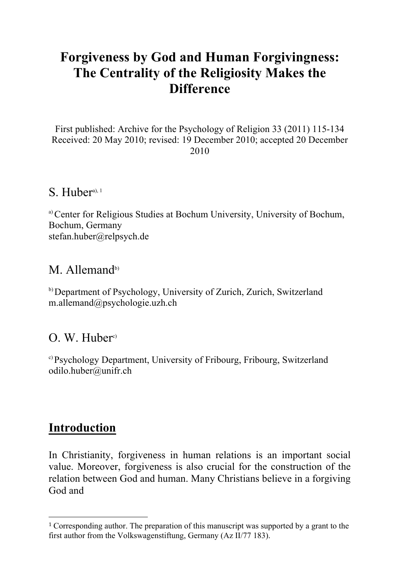# **Forgiveness by God and Human Forgivingness: The Centrality of the Religiosity Makes the Difference**

First published: Archive for the Psychology of Religion 33 (2011) 115-134 Received: 20 May 2010; revised: 19 December 2010; accepted 20 December 2010

## $S$ . Huber<sup>a), 1</sup>

<sup>a)</sup> Center for Religious Studies at Bochum University, University of Bochum, Bochum, Germany stefan.huber@relpsych.de

## $M$  Allemand<sup>b)</sup>

b) Department of Psychology, University of Zurich, Zurich, Switzerland m.allemand@psychologie.uzh.ch

## $\Omega$  W. Huber<sup>c)</sup>

c)Psychology Department, University of Fribourg, Fribourg, Switzerland odilo.huber@unifr.ch

## **Introduction**

 

In Christianity, forgiveness in human relations is an important social value. Moreover, forgiveness is also crucial for the construction of the relation between God and human. Many Christians believe in a forgiving God and

<sup>1</sup> Corresponding author. The preparation of this manuscript was supported by a grant to the first author from the Volkswagenstiftung, Germany (Az II/77 183).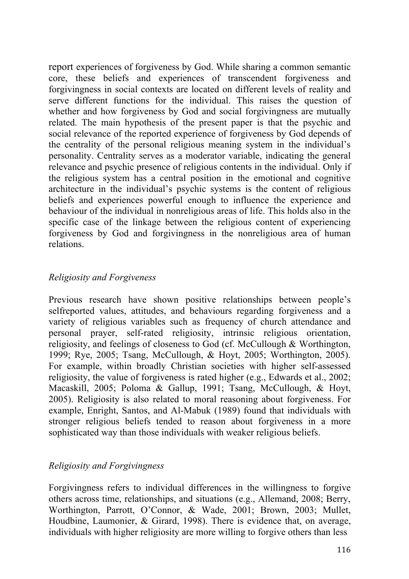report experiences of forgiveness by God. While sharing a common semantic core, these beliefs and experiences of transcendent forgiveness and forgivingness in social contexts are located on different levels of reality and serve different functions for the individual. This raises the question of whether and how forgiveness by God and social forgivingness are mutually related. The main hypothesis of the present paper is that the psychic and social relevance of the reported experience of forgiveness by God depends of the centrality of the personal religious meaning system in the individual's personality. Centrality serves as a moderator variable, indicating the general relevance and psychic presence of religious contents in the individual. Only if the religious system has a central position in the emotional and cognitive architecture in the individual's psychic systems is the content of religious beliefs and experiences powerful enough to influence the experience and behaviour of the individual in nonreligious areas of life. This holds also in the specific case of the linkage between the religious content of experiencing forgiveness by God and forgivingness in the nonreligious area of human relations.

#### *Religiosity and Forgiveness*

Previous research have shown positive relationships between people's selfreported values, attitudes, and behaviours regarding forgiveness and a variety of religious variables such as frequency of church attendance and personal prayer, self-rated religiosity, intrinsic religious orientation, religiosity, and feelings of closeness to God (cf. McCullough & Worthington, 1999; Rye, 2005; Tsang, McCullough, & Hoyt, 2005; Worthington, 2005). For example, within broadly Christian societies with higher self-assessed religiosity, the value of forgiveness is rated higher (e.g., Edwards et al., 2002; Macaskill, 2005; Poloma & Gallup, 1991; Tsang, McCullough, & Hoyt, 2005). Religiosity is also related to moral reasoning about forgiveness. For example, Enright, Santos, and Al-Mabuk (1989) found that individuals with stronger religious beliefs tended to reason about forgiveness in a more sophisticated way than those individuals with weaker religious beliefs.

#### *Religiosity and Forgivingness*

Forgivingness refers to individual differences in the willingness to forgive others across time, relationships, and situations (e.g., Allemand, 2008; Berry, Worthington, Parrott, O'Connor, & Wade, 2001; Brown, 2003; Mullet, Houdbine, Laumonier, & Girard, 1998). There is evidence that, on average, individuals with higher religiosity are more willing to forgive others than less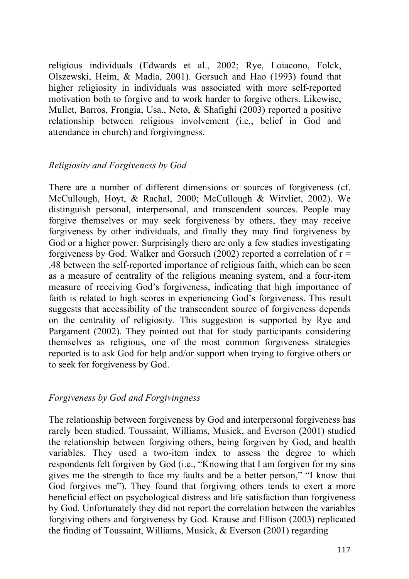religious individuals (Edwards et al., 2002; Rye, Loiacono, Folck, Olszewski, Heim, & Madia, 2001). Gorsuch and Hao (1993) found that higher religiosity in individuals was associated with more self-reported motivation both to forgive and to work harder to forgive others. Likewise, Mullet, Barros, Frongia, Usa., Neto, & Shafighi (2003) reported a positive relationship between religious involvement (i.e., belief in God and attendance in church) and forgivingness.

### *Religiosity and Forgiveness by God*

There are a number of different dimensions or sources of forgiveness (cf. McCullough, Hoyt, & Rachal, 2000; McCullough & Witvliet, 2002). We distinguish personal, interpersonal, and transcendent sources. People may forgive themselves or may seek forgiveness by others, they may receive forgiveness by other individuals, and finally they may find forgiveness by God or a higher power. Surprisingly there are only a few studies investigating forgiveness by God. Walker and Gorsuch (2002) reported a correlation of  $r =$ .48 between the self-reported importance of religious faith, which can be seen as a measure of centrality of the religious meaning system, and a four-item measure of receiving God's forgiveness, indicating that high importance of faith is related to high scores in experiencing God's forgiveness. This result suggests that accessibility of the transcendent source of forgiveness depends on the centrality of religiosity. This suggestion is supported by Rye and Pargament (2002). They pointed out that for study participants considering themselves as religious, one of the most common forgiveness strategies reported is to ask God for help and/or support when trying to forgive others or to seek for forgiveness by God.

#### *Forgiveness by God and Forgivingness*

The relationship between forgiveness by God and interpersonal forgiveness has rarely been studied. Toussaint, Williams, Musick, and Everson (2001) studied the relationship between forgiving others, being forgiven by God, and health variables. They used a two-item index to assess the degree to which respondents felt forgiven by God (i.e., "Knowing that I am forgiven for my sins gives me the strength to face my faults and be a better person," "I know that God forgives me"). They found that forgiving others tends to exert a more beneficial effect on psychological distress and life satisfaction than forgiveness by God. Unfortunately they did not report the correlation between the variables forgiving others and forgiveness by God. Krause and Ellison (2003) replicated the finding of Toussaint, Williams, Musick, & Everson (2001) regarding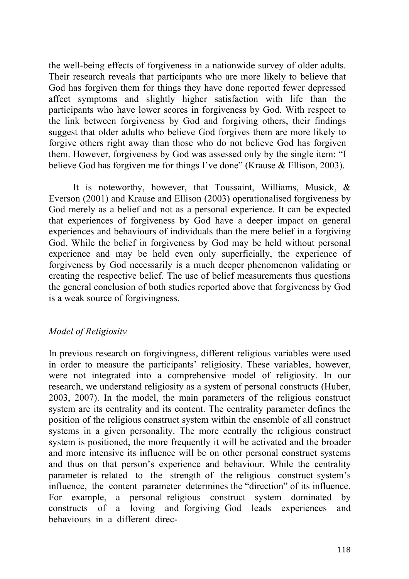the well-being effects of forgiveness in a nationwide survey of older adults. Their research reveals that participants who are more likely to believe that God has forgiven them for things they have done reported fewer depressed affect symptoms and slightly higher satisfaction with life than the participants who have lower scores in forgiveness by God. With respect to the link between forgiveness by God and forgiving others, their findings suggest that older adults who believe God forgives them are more likely to forgive others right away than those who do not believe God has forgiven them. However, forgiveness by God was assessed only by the single item: "I believe God has forgiven me for things I've done" (Krause & Ellison, 2003).

It is noteworthy, however, that Toussaint, Williams, Musick, & Everson (2001) and Krause and Ellison (2003) operationalised forgiveness by God merely as a belief and not as a personal experience. It can be expected that experiences of forgiveness by God have a deeper impact on general experiences and behaviours of individuals than the mere belief in a forgiving God. While the belief in forgiveness by God may be held without personal experience and may be held even only superficially, the experience of forgiveness by God necessarily is a much deeper phenomenon validating or creating the respective belief. The use of belief measurements thus questions the general conclusion of both studies reported above that forgiveness by God is a weak source of forgivingness.

#### *Model of Religiosity*

In previous research on forgivingness, different religious variables were used in order to measure the participants' religiosity. These variables, however, were not integrated into a comprehensive model of religiosity. In our research, we understand religiosity as a system of personal constructs (Huber, 2003, 2007). In the model, the main parameters of the religious construct system are its centrality and its content. The centrality parameter defines the position of the religious construct system within the ensemble of all construct systems in a given personality. The more centrally the religious construct system is positioned, the more frequently it will be activated and the broader and more intensive its influence will be on other personal construct systems and thus on that person's experience and behaviour. While the centrality parameter is related to the strength of the religious construct system's influence, the content parameter determines the "direction" of its influence. For example, a personal religious construct system dominated by constructs of a loving and forgiving God leads experiences and behaviours in a different direc-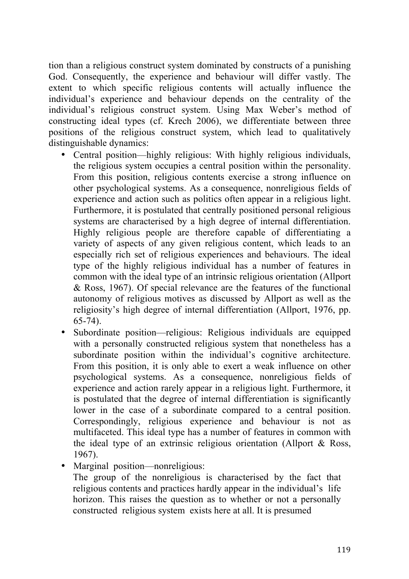tion than a religious construct system dominated by constructs of a punishing God. Consequently, the experience and behaviour will differ vastly. The extent to which specific religious contents will actually influence the individual's experience and behaviour depends on the centrality of the individual's religious construct system. Using Max Weber's method of constructing ideal types (cf. Krech 2006), we differentiate between three positions of the religious construct system, which lead to qualitatively distinguishable dynamics:

- Central position—highly religious: With highly religious individuals, the religious system occupies a central position within the personality. From this position, religious contents exercise a strong influence on other psychological systems. As a consequence, nonreligious fields of experience and action such as politics often appear in a religious light. Furthermore, it is postulated that centrally positioned personal religious systems are characterised by a high degree of internal differentiation. Highly religious people are therefore capable of differentiating a variety of aspects of any given religious content, which leads to an especially rich set of religious experiences and behaviours. The ideal type of the highly religious individual has a number of features in common with the ideal type of an intrinsic religious orientation (Allport & Ross, 1967). Of special relevance are the features of the functional autonomy of religious motives as discussed by Allport as well as the religiosity's high degree of internal differentiation (Allport, 1976, pp. 65-74).
- Subordinate position—religious: Religious individuals are equipped with a personally constructed religious system that nonetheless has a subordinate position within the individual's cognitive architecture. From this position, it is only able to exert a weak influence on other psychological systems. As a consequence, nonreligious fields of experience and action rarely appear in a religious light. Furthermore, it is postulated that the degree of internal differentiation is significantly lower in the case of a subordinate compared to a central position. Correspondingly, religious experience and behaviour is not as multifaceted. This ideal type has a number of features in common with the ideal type of an extrinsic religious orientation (Allport & Ross, 1967).
- Marginal position—nonreligious:

The group of the nonreligious is characterised by the fact that religious contents and practices hardly appear in the individual's life horizon. This raises the question as to whether or not a personally constructed religious system exists here at all. It is presumed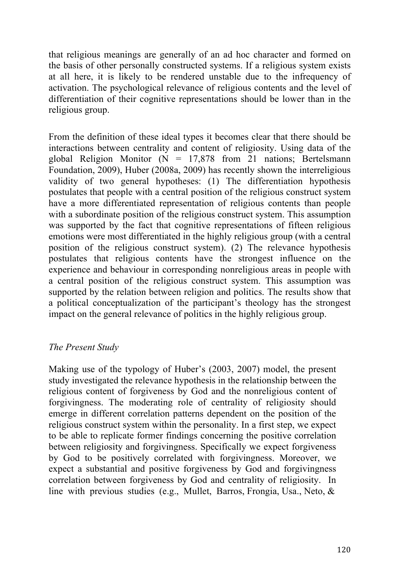that religious meanings are generally of an ad hoc character and formed on the basis of other personally constructed systems. If a religious system exists at all here, it is likely to be rendered unstable due to the infrequency of activation. The psychological relevance of religious contents and the level of differentiation of their cognitive representations should be lower than in the religious group.

From the definition of these ideal types it becomes clear that there should be interactions between centrality and content of religiosity. Using data of the global Religion Monitor  $(N = 17,878$  from 21 nations; Bertelsmann Foundation, 2009), Huber (2008a, 2009) has recently shown the interreligious validity of two general hypotheses: (1) The differentiation hypothesis postulates that people with a central position of the religious construct system have a more differentiated representation of religious contents than people with a subordinate position of the religious construct system. This assumption was supported by the fact that cognitive representations of fifteen religious emotions were most differentiated in the highly religious group (with a central position of the religious construct system). (2) The relevance hypothesis postulates that religious contents have the strongest influence on the experience and behaviour in corresponding nonreligious areas in people with a central position of the religious construct system. This assumption was supported by the relation between religion and politics. The results show that a political conceptualization of the participant's theology has the strongest impact on the general relevance of politics in the highly religious group.

## *The Present Study*

Making use of the typology of Huber's (2003, 2007) model, the present study investigated the relevance hypothesis in the relationship between the religious content of forgiveness by God and the nonreligious content of forgivingness. The moderating role of centrality of religiosity should emerge in different correlation patterns dependent on the position of the religious construct system within the personality. In a first step, we expect to be able to replicate former findings concerning the positive correlation between religiosity and forgivingness. Specifically we expect forgiveness by God to be positively correlated with forgivingness. Moreover, we expect a substantial and positive forgiveness by God and forgivingness correlation between forgiveness by God and centrality of religiosity. In line with previous studies (e.g., Mullet, Barros, Frongia, Usa., Neto, &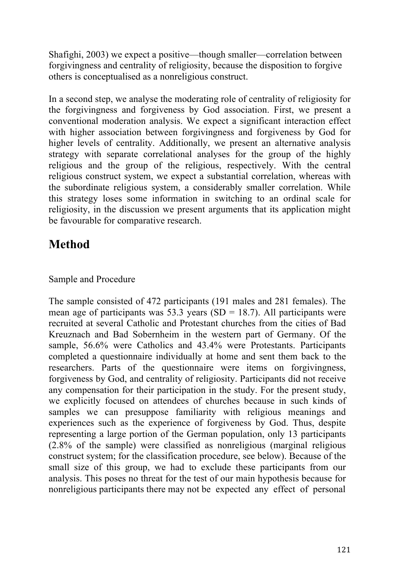Shafighi, 2003) we expect a positive—though smaller—correlation between forgivingness and centrality of religiosity, because the disposition to forgive others is conceptualised as a nonreligious construct.

In a second step, we analyse the moderating role of centrality of religiosity for the forgivingness and forgiveness by God association. First, we present a conventional moderation analysis. We expect a significant interaction effect with higher association between forgivingness and forgiveness by God for higher levels of centrality. Additionally, we present an alternative analysis strategy with separate correlational analyses for the group of the highly religious and the group of the religious, respectively. With the central religious construct system, we expect a substantial correlation, whereas with the subordinate religious system, a considerably smaller correlation. While this strategy loses some information in switching to an ordinal scale for religiosity, in the discussion we present arguments that its application might be favourable for comparative research.

# **Method**

## Sample and Procedure

The sample consisted of 472 participants (191 males and 281 females). The mean age of participants was  $53.3$  years (SD = 18.7). All participants were recruited at several Catholic and Protestant churches from the cities of Bad Kreuznach and Bad Sobernheim in the western part of Germany. Of the sample, 56.6% were Catholics and 43.4% were Protestants. Participants completed a questionnaire individually at home and sent them back to the researchers. Parts of the questionnaire were items on forgivingness, forgiveness by God, and centrality of religiosity. Participants did not receive any compensation for their participation in the study. For the present study, we explicitly focused on attendees of churches because in such kinds of samples we can presuppose familiarity with religious meanings and experiences such as the experience of forgiveness by God. Thus, despite representing a large portion of the German population, only 13 participants (2.8% of the sample) were classified as nonreligious (marginal religious construct system; for the classification procedure, see below). Because of the small size of this group, we had to exclude these participants from our analysis. This poses no threat for the test of our main hypothesis because for nonreligious participants there may not be expected any effect of personal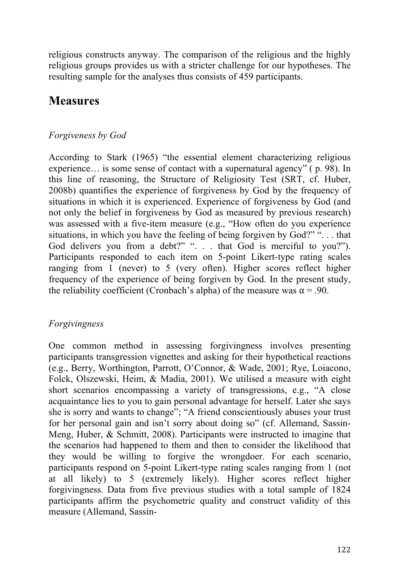religious constructs anyway. The comparison of the religious and the highly religious groups provides us with a stricter challenge for our hypotheses. The resulting sample for the analyses thus consists of 459 participants.

# **Measures**

## *Forgiveness by God*

According to Stark (1965) "the essential element characterizing religious experience… is some sense of contact with a supernatural agency" ( p. 98). In this line of reasoning, the Structure of Religiosity Test (SRT, cf. Huber, 2008b) quantifies the experience of forgiveness by God by the frequency of situations in which it is experienced. Experience of forgiveness by God (and not only the belief in forgiveness by God as measured by previous research) was assessed with a five-item measure (e.g., "How often do you experience situations, in which you have the feeling of being forgiven by God?" ". . . that God delivers you from a debt?" ". . . that God is merciful to you?"). Participants responded to each item on 5-point Likert-type rating scales ranging from 1 (never) to 5 (very often). Higher scores reflect higher frequency of the experience of being forgiven by God. In the present study, the reliability coefficient (Cronbach's alpha) of the measure was  $\alpha = .90$ .

## *Forgivingness*

One common method in assessing forgivingness involves presenting participants transgression vignettes and asking for their hypothetical reactions (e.g., Berry, Worthington, Parrott, O'Connor, & Wade, 2001; Rye, Loiacono, Folck, Olszewski, Heim, & Madia, 2001). We utilised a measure with eight short scenarios encompassing a variety of transgressions, e.g., "A close acquaintance lies to you to gain personal advantage for herself. Later she says she is sorry and wants to change"; "A friend conscientiously abuses your trust for her personal gain and isn't sorry about doing so" (cf. Allemand, Sassin-Meng, Huber, & Schmitt, 2008). Participants were instructed to imagine that the scenarios had happened to them and then to consider the likelihood that they would be willing to forgive the wrongdoer. For each scenario, participants respond on 5-point Likert-type rating scales ranging from 1 (not at all likely) to 5 (extremely likely). Higher scores reflect higher forgivingness. Data from five previous studies with a total sample of 1824 participants affirm the psychometric quality and construct validity of this measure (Allemand, Sassin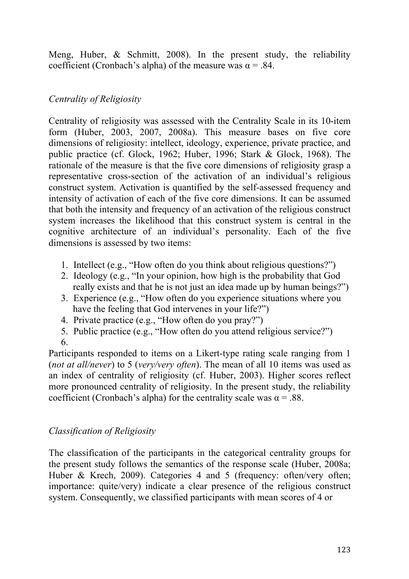Meng, Huber, & Schmitt, 2008). In the present study, the reliability coefficient (Cronbach's alpha) of the measure was  $\alpha = .84$ .

## *Centrality of Religiosity*

Centrality of religiosity was assessed with the Centrality Scale in its 10-item form (Huber, 2003, 2007, 2008a). This measure bases on five core dimensions of religiosity: intellect, ideology, experience, private practice, and public practice (cf. Glock, 1962; Huber, 1996; Stark & Glock, 1968). The rationale of the measure is that the five core dimensions of religiosity grasp a representative cross-section of the activation of an individual's religious construct system. Activation is quantified by the self-assessed frequency and intensity of activation of each of the five core dimensions. It can be assumed that both the intensity and frequency of an activation of the religious construct system increases the likelihood that this construct system is central in the cognitive architecture of an individual's personality. Each of the five dimensions is assessed by two items:

- 1. Intellect (e.g., "How often do you think about religious questions?")
- 2. Ideology (e.g., "In your opinion, how high is the probability that God really exists and that he is not just an idea made up by human beings?")
- 3. Experience (e.g., "How often do you experience situations where you have the feeling that God intervenes in your life?")
- 4. Private practice (e.g., "How often do you pray?")
- 5. Public practice (e.g., "How often do you attend religious service?") 6.

Participants responded to items on a Likert-type rating scale ranging from 1 (*not at all/never*) to 5 (*very/very often*). The mean of all 10 items was used as an index of centrality of religiosity (cf. Huber, 2003). Higher scores reflect more pronounced centrality of religiosity. In the present study, the reliability coefficient (Cronbach's alpha) for the centrality scale was  $\alpha = .88$ .

## *Classification of Religiosity*

The classification of the participants in the categorical centrality groups for the present study follows the semantics of the response scale (Huber, 2008a; Huber & Krech, 2009). Categories 4 and 5 (frequency: often/very often; importance: quite/very) indicate a clear presence of the religious construct system. Consequently, we classified participants with mean scores of 4 or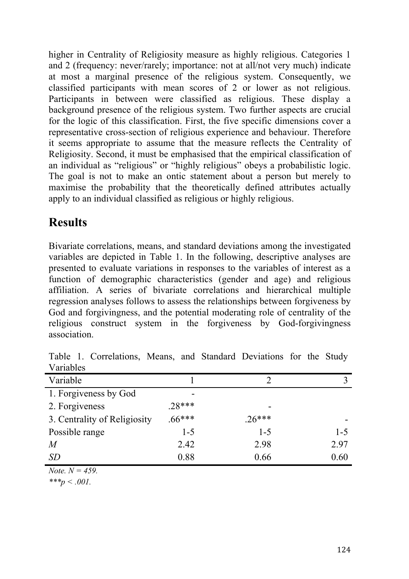higher in Centrality of Religiosity measure as highly religious. Categories 1 and 2 (frequency: never/rarely; importance: not at all/not very much) indicate at most a marginal presence of the religious system. Consequently, we classified participants with mean scores of 2 or lower as not religious. Participants in between were classified as religious. These display a background presence of the religious system. Two further aspects are crucial for the logic of this classification. First, the five specific dimensions cover a representative cross-section of religious experience and behaviour. Therefore it seems appropriate to assume that the measure reflects the Centrality of Religiosity. Second, it must be emphasised that the empirical classification of an individual as "religious" or "highly religious" obeys a probabilistic logic. The goal is not to make an ontic statement about a person but merely to maximise the probability that the theoretically defined attributes actually apply to an individual classified as religious or highly religious.

# **Results**

Bivariate correlations, means, and standard deviations among the investigated variables are depicted in Table 1. In the following, descriptive analyses are presented to evaluate variations in responses to the variables of interest as a function of demographic characteristics (gender and age) and religious affiliation. A series of bivariate correlations and hierarchical multiple regression analyses follows to assess the relationships between forgiveness by God and forgivingness, and the potential moderating role of centrality of the religious construct system in the forgiveness by God-forgivingness association.

| v aliaolos                   |          |         |         |
|------------------------------|----------|---------|---------|
| Variable                     |          |         |         |
| 1. Forgiveness by God        |          |         |         |
| 2. Forgiveness               | $28***$  | -       |         |
| 3. Centrality of Religiosity | $.66***$ | $26***$ |         |
| Possible range               | $1 - 5$  | $1 - 5$ | $1 - 5$ |
| M                            | 2.42     | 2.98    | 2.97    |
| <i>SD</i>                    | 0.88     | 0.66    | 0.60    |
|                              |          |         |         |

Table 1. Correlations, Means, and Standard Deviations for the Study Variables

*Note. N = 459.*

*\*\*\*p < .001.*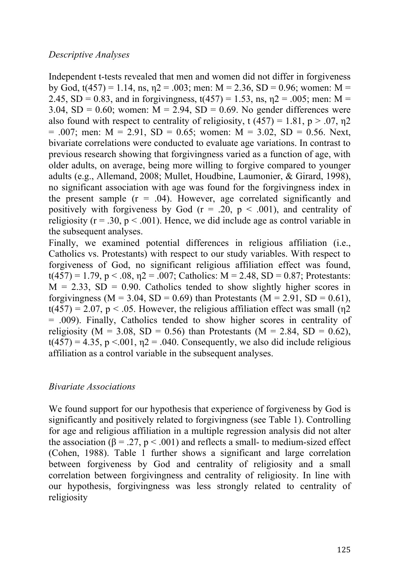Independent t-tests revealed that men and women did not differ in forgiveness by God,  $t(457) = 1.14$ , ns,  $\eta$ 2 = .003; men: M = 2.36, SD = 0.96; women: M = 2.45, SD = 0.83, and in forgivingness,  $t(457) = 1.53$ , ns,  $n2 = .005$ ; men: M = 3.04,  $SD = 0.60$ ; women:  $M = 2.94$ ,  $SD = 0.69$ . No gender differences were also found with respect to centrality of religiosity, t  $(457) = 1.81$ ,  $p > .07$ ,  $p2$  $= .007$ ; men:  $M = 2.91$ ,  $SD = 0.65$ ; women:  $M = 3.02$ ,  $SD = 0.56$ . Next, bivariate correlations were conducted to evaluate age variations. In contrast to previous research showing that forgivingness varied as a function of age, with older adults, on average, being more willing to forgive compared to younger adults (e.g., Allemand, 2008; Mullet, Houdbine, Laumonier, & Girard, 1998), no significant association with age was found for the forgivingness index in the present sample  $(r = .04)$ . However, age correlated significantly and positively with forgiveness by God ( $r = .20$ ,  $p < .001$ ), and centrality of religiosity ( $r = .30$ ,  $p < .001$ ). Hence, we did include age as control variable in the subsequent analyses.

Finally, we examined potential differences in religious affiliation (i.e., Catholics vs. Protestants) with respect to our study variables. With respect to forgiveness of God, no significant religious affiliation effect was found,  $t(457) = 1.79$ ,  $p < .08$ ,  $p_0 = .007$ ; Catholics: M = 2.48, SD = 0.87; Protestants:  $M = 2.33$ ,  $SD = 0.90$ . Catholics tended to show slightly higher scores in forgivingness (M = 3.04, SD = 0.69) than Protestants (M = 2.91, SD = 0.61),  $t(457) = 2.07$ ,  $p < .05$ . However, the religious affiliation effect was small ( $n2$ ) = .009). Finally, Catholics tended to show higher scores in centrality of religiosity ( $M = 3.08$ ,  $SD = 0.56$ ) than Protestants ( $M = 2.84$ ,  $SD = 0.62$ ),  $t(457) = 4.35$ ,  $p < 0.001$ ,  $n2 = 0.040$ . Consequently, we also did include religious affiliation as a control variable in the subsequent analyses.

### *Bivariate Associations*

We found support for our hypothesis that experience of forgiveness by God is significantly and positively related to forgivingness (see Table 1). Controlling for age and religious affiliation in a multiple regression analysis did not alter the association ( $\beta$  = .27, p < .001) and reflects a small- to medium-sized effect (Cohen, 1988). Table 1 further shows a significant and large correlation between forgiveness by God and centrality of religiosity and a small correlation between forgivingness and centrality of religiosity. In line with our hypothesis, forgivingness was less strongly related to centrality of religiosity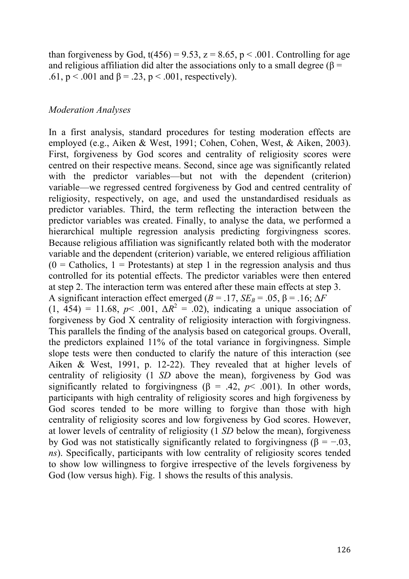than forgiveness by God,  $t(456) = 9.53$ ,  $z = 8.65$ ,  $p < .001$ . Controlling for age and religious affiliation did alter the associations only to a small degree ( $\beta$  = .61,  $p < .001$  and  $\beta = .23$ ,  $p < .001$ , respectively).

#### *Moderation Analyses*

In a first analysis, standard procedures for testing moderation effects are employed (e.g., Aiken & West, 1991; Cohen, Cohen, West, & Aiken, 2003). First, forgiveness by God scores and centrality of religiosity scores were centred on their respective means. Second, since age was significantly related with the predictor variables—but not with the dependent (criterion) variable—we regressed centred forgiveness by God and centred centrality of religiosity, respectively, on age, and used the unstandardised residuals as predictor variables. Third, the term reflecting the interaction between the predictor variables was created. Finally, to analyse the data, we performed a hierarchical multiple regression analysis predicting forgivingness scores. Because religious affiliation was significantly related both with the moderator variable and the dependent (criterion) variable, we entered religious affiliation  $(0 = \text{Catholics}, 1 = \text{Protestants})$  at step 1 in the regression analysis and thus controlled for its potential effects. The predictor variables were then entered at step 2. The interaction term was entered after these main effects at step 3. A significant interaction effect emerged ( $B = .17$ ,  $SE_B = .05$ ,  $\beta = .16$ ;  $\Delta F$ (1, 454) = 11.68,  $p$ < .001,  $\Delta R^2$  = .02), indicating a unique association of forgiveness by God X centrality of religiosity interaction with forgivingness. This parallels the finding of the analysis based on categorical groups. Overall, the predictors explained 11% of the total variance in forgivingness. Simple slope tests were then conducted to clarify the nature of this interaction (see Aiken & West, 1991, p. 12-22). They revealed that at higher levels of centrality of religiosity (1 *SD* above the mean), forgiveness by God was significantly related to forgivingness ( $\beta$  = .42,  $p$  < .001). In other words, participants with high centrality of religiosity scores and high forgiveness by God scores tended to be more willing to forgive than those with high centrality of religiosity scores and low forgiveness by God scores. However, at lower levels of centrality of religiosity (1 *SD* below the mean), forgiveness by God was not statistically significantly related to forgivingness ( $\beta = -0.03$ , *ns*). Specifically, participants with low centrality of religiosity scores tended to show low willingness to forgive irrespective of the levels forgiveness by God (low versus high). Fig. 1 shows the results of this analysis.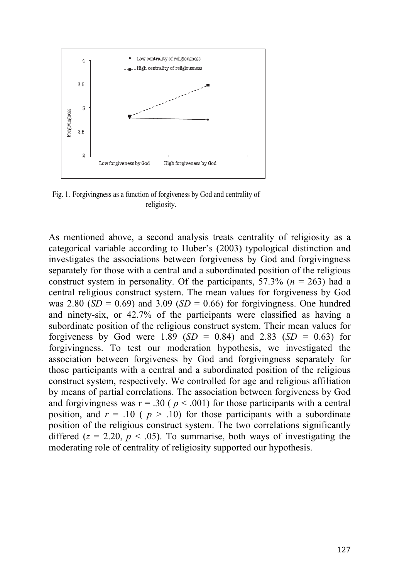

Fig. 1. Forgivingness as a function of forgiveness by God and centrality of religiosity.

As mentioned above, a second analysis treats centrality of religiosity as a categorical variable according to Huber's (2003) typological distinction and investigates the associations between forgiveness by God and forgivingness separately for those with a central and a subordinated position of the religious construct system in personality. Of the participants, 57.3% (*n* = 263) had a central religious construct system. The mean values for forgiveness by God was 2.80 ( $SD = 0.69$ ) and 3.09 ( $SD = 0.66$ ) for forgivingness. One hundred and ninety-six, or 42.7% of the participants were classified as having a subordinate position of the religious construct system. Their mean values for forgiveness by God were  $1.89$  (*SD* = 0.84) and 2.83 (*SD* = 0.63) for forgivingness. To test our moderation hypothesis, we investigated the association between forgiveness by God and forgivingness separately for those participants with a central and a subordinated position of the religious construct system, respectively. We controlled for age and religious affiliation by means of partial correlations. The association between forgiveness by God and forgivingness was  $r = .30$  ( $p < .001$ ) for those participants with a central position, and  $r = .10$  ( $p > .10$ ) for those participants with a subordinate position of the religious construct system. The two correlations significantly differed  $(z = 2.20, p < .05)$ . To summarise, both ways of investigating the moderating role of centrality of religiosity supported our hypothesis.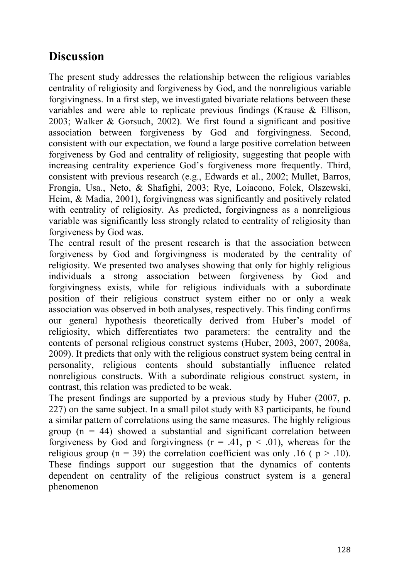## **Discussion**

The present study addresses the relationship between the religious variables centrality of religiosity and forgiveness by God, and the nonreligious variable forgivingness. In a first step, we investigated bivariate relations between these variables and were able to replicate previous findings (Krause & Ellison, 2003; Walker & Gorsuch, 2002). We first found a significant and positive association between forgiveness by God and forgivingness. Second, consistent with our expectation, we found a large positive correlation between forgiveness by God and centrality of religiosity, suggesting that people with increasing centrality experience God's forgiveness more frequently. Third, consistent with previous research (e.g., Edwards et al., 2002; Mullet, Barros, Frongia, Usa., Neto, & Shafighi, 2003; Rye, Loiacono, Folck, Olszewski, Heim, & Madia, 2001), forgivingness was significantly and positively related with centrality of religiosity. As predicted, forgivingness as a nonreligious variable was significantly less strongly related to centrality of religiosity than forgiveness by God was.

The central result of the present research is that the association between forgiveness by God and forgivingness is moderated by the centrality of religiosity. We presented two analyses showing that only for highly religious individuals a strong association between forgiveness by God and forgivingness exists, while for religious individuals with a subordinate position of their religious construct system either no or only a weak association was observed in both analyses, respectively. This finding confirms our general hypothesis theoretically derived from Huber's model of religiosity, which differentiates two parameters: the centrality and the contents of personal religious construct systems (Huber, 2003, 2007, 2008a, 2009). It predicts that only with the religious construct system being central in personality, religious contents should substantially influence related nonreligious constructs. With a subordinate religious construct system, in contrast, this relation was predicted to be weak.

The present findings are supported by a previous study by Huber (2007, p. 227) on the same subject. In a small pilot study with 83 participants, he found a similar pattern of correlations using the same measures. The highly religious group  $(n = 44)$  showed a substantial and significant correlation between forgiveness by God and forgivingness  $(r = .41, p < .01)$ , whereas for the religious group ( $n = 39$ ) the correlation coefficient was only .16 ( $p > .10$ ). These findings support our suggestion that the dynamics of contents dependent on centrality of the religious construct system is a general phenomenon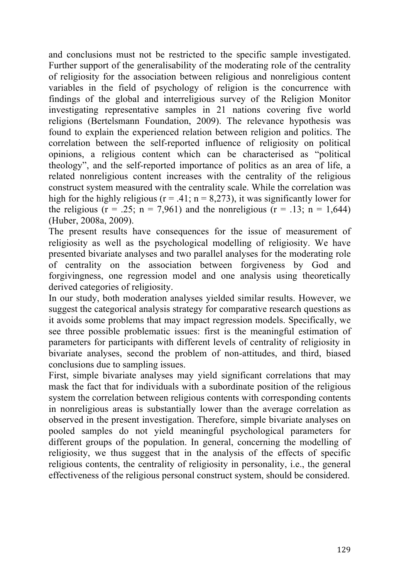and conclusions must not be restricted to the specific sample investigated. Further support of the generalisability of the moderating role of the centrality of religiosity for the association between religious and nonreligious content variables in the field of psychology of religion is the concurrence with findings of the global and interreligious survey of the Religion Monitor investigating representative samples in 21 nations covering five world religions (Bertelsmann Foundation, 2009). The relevance hypothesis was found to explain the experienced relation between religion and politics. The correlation between the self-reported influence of religiosity on political opinions, a religious content which can be characterised as "political theology", and the self-reported importance of politics as an area of life, a related nonreligious content increases with the centrality of the religious construct system measured with the centrality scale. While the correlation was high for the highly religious ( $r = .41$ ;  $n = 8,273$ ), it was significantly lower for the religious ( $r = .25$ ;  $n = 7.961$ ) and the nonreligious ( $r = .13$ ;  $n = 1.644$ ) (Huber, 2008a, 2009).

The present results have consequences for the issue of measurement of religiosity as well as the psychological modelling of religiosity. We have presented bivariate analyses and two parallel analyses for the moderating role of centrality on the association between forgiveness by God and forgivingness, one regression model and one analysis using theoretically derived categories of religiosity.

In our study, both moderation analyses yielded similar results. However, we suggest the categorical analysis strategy for comparative research questions as it avoids some problems that may impact regression models. Specifically, we see three possible problematic issues: first is the meaningful estimation of parameters for participants with different levels of centrality of religiosity in bivariate analyses, second the problem of non-attitudes, and third, biased conclusions due to sampling issues.

First, simple bivariate analyses may yield significant correlations that may mask the fact that for individuals with a subordinate position of the religious system the correlation between religious contents with corresponding contents in nonreligious areas is substantially lower than the average correlation as observed in the present investigation. Therefore, simple bivariate analyses on pooled samples do not yield meaningful psychological parameters for different groups of the population. In general, concerning the modelling of religiosity, we thus suggest that in the analysis of the effects of specific religious contents, the centrality of religiosity in personality, i.e., the general effectiveness of the religious personal construct system, should be considered.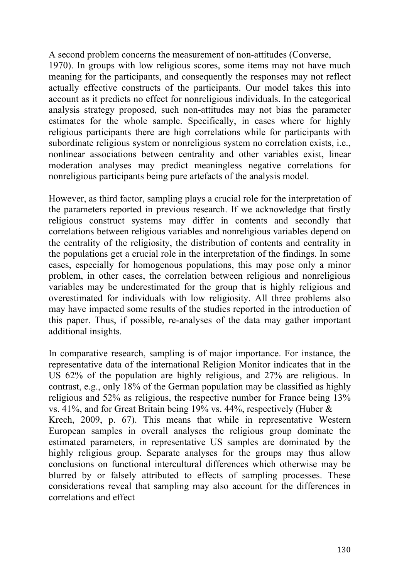A second problem concerns the measurement of non-attitudes (Converse,

1970). In groups with low religious scores, some items may not have much meaning for the participants, and consequently the responses may not reflect actually effective constructs of the participants. Our model takes this into account as it predicts no effect for nonreligious individuals. In the categorical analysis strategy proposed, such non-attitudes may not bias the parameter estimates for the whole sample. Specifically, in cases where for highly religious participants there are high correlations while for participants with subordinate religious system or nonreligious system no correlation exists, i.e., nonlinear associations between centrality and other variables exist, linear moderation analyses may predict meaningless negative correlations for nonreligious participants being pure artefacts of the analysis model.

However, as third factor, sampling plays a crucial role for the interpretation of the parameters reported in previous research. If we acknowledge that firstly religious construct systems may differ in contents and secondly that correlations between religious variables and nonreligious variables depend on the centrality of the religiosity, the distribution of contents and centrality in the populations get a crucial role in the interpretation of the findings. In some cases, especially for homogenous populations, this may pose only a minor problem, in other cases, the correlation between religious and nonreligious variables may be underestimated for the group that is highly religious and overestimated for individuals with low religiosity. All three problems also may have impacted some results of the studies reported in the introduction of this paper. Thus, if possible, re-analyses of the data may gather important additional insights.

In comparative research, sampling is of major importance. For instance, the representative data of the international Religion Monitor indicates that in the US 62% of the population are highly religious, and 27% are religious. In contrast, e.g., only 18% of the German population may be classified as highly religious and 52% as religious, the respective number for France being 13% vs. 41%, and for Great Britain being 19% vs. 44%, respectively (Huber & Krech, 2009, p. 67). This means that while in representative Western European samples in overall analyses the religious group dominate the estimated parameters, in representative US samples are dominated by the highly religious group. Separate analyses for the groups may thus allow conclusions on functional intercultural differences which otherwise may be blurred by or falsely attributed to effects of sampling processes. These considerations reveal that sampling may also account for the differences in correlations and effect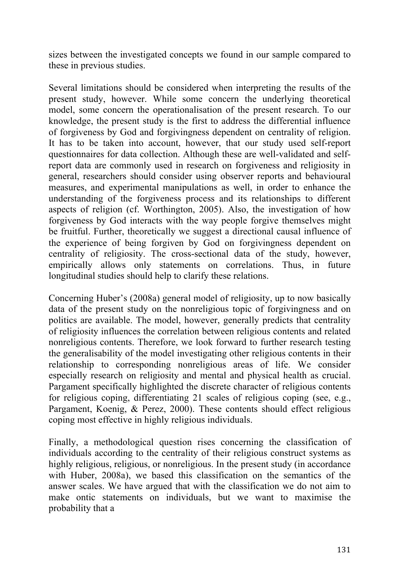sizes between the investigated concepts we found in our sample compared to these in previous studies.

Several limitations should be considered when interpreting the results of the present study, however. While some concern the underlying theoretical model, some concern the operationalisation of the present research. To our knowledge, the present study is the first to address the differential influence of forgiveness by God and forgivingness dependent on centrality of religion. It has to be taken into account, however, that our study used self-report questionnaires for data collection. Although these are well-validated and selfreport data are commonly used in research on forgiveness and religiosity in general, researchers should consider using observer reports and behavioural measures, and experimental manipulations as well, in order to enhance the understanding of the forgiveness process and its relationships to different aspects of religion (cf. Worthington, 2005). Also, the investigation of how forgiveness by God interacts with the way people forgive themselves might be fruitful. Further, theoretically we suggest a directional causal influence of the experience of being forgiven by God on forgivingness dependent on centrality of religiosity. The cross-sectional data of the study, however, empirically allows only statements on correlations. Thus, in future longitudinal studies should help to clarify these relations.

Concerning Huber's (2008a) general model of religiosity, up to now basically data of the present study on the nonreligious topic of forgivingness and on politics are available. The model, however, generally predicts that centrality of religiosity influences the correlation between religious contents and related nonreligious contents. Therefore, we look forward to further research testing the generalisability of the model investigating other religious contents in their relationship to corresponding nonreligious areas of life. We consider especially research on religiosity and mental and physical health as crucial. Pargament specifically highlighted the discrete character of religious contents for religious coping, differentiating 21 scales of religious coping (see, e.g., Pargament, Koenig, & Perez, 2000). These contents should effect religious coping most effective in highly religious individuals.

Finally, a methodological question rises concerning the classification of individuals according to the centrality of their religious construct systems as highly religious, religious, or nonreligious. In the present study (in accordance with Huber, 2008a), we based this classification on the semantics of the answer scales. We have argued that with the classification we do not aim to make ontic statements on individuals, but we want to maximise the probability that a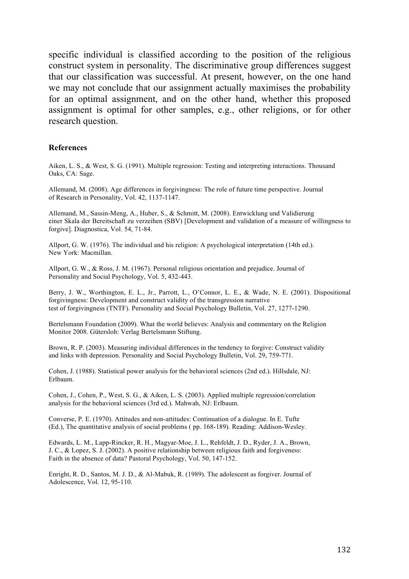specific individual is classified according to the position of the religious construct system in personality. The discriminative group differences suggest that our classification was successful. At present, however, on the one hand we may not conclude that our assignment actually maximises the probability for an optimal assignment, and on the other hand, whether this proposed assignment is optimal for other samples, e.g., other religions, or for other research question.

#### **References**

Aiken, L. S., & West, S. G. (1991). Multiple regression: Testing and interpreting interactions. Thousand Oaks, CA: Sage.

Allemand, M. (2008). Age differences in forgivingness: The role of future time perspective. Journal of Research in Personality, Vol. 42, 1137-1147.

Allemand, M., Sassin-Meng, A., Huber, S., & Schmitt, M. (2008). Entwicklung und Validierung einer Skala der Bereitschaft zu verzeihen (SBV) [Development and validation of a measure of willingness to forgive]. Diagnostica, Vol. 54, 71-84.

Allport, G. W. (1976). The individual and his religion: A psychological interpretation (14th ed.). New York: Macmillan.

Allport, G. W., & Ross, J. M. (1967). Personal religious orientation and prejudice. Journal of Personality and Social Psychology, Vol. 5, 432-443.

Berry, J. W., Worthington, E. L., Jr., Parrott, L., O'Connor, L. E., & Wade, N. E. (2001). Dispositional forgivingness: Development and construct validity of the transgression narrative test of forgivingness (TNTF). Personality and Social Psychology Bulletin, Vol. 27, 1277-1290.

Bertelsmann Foundation (2009). What the world believes: Analysis and commentary on the Religion Monitor 2008. Gütersloh: Verlag Bertelsmann Stiftung.

Brown, R. P. (2003). Measuring individual differences in the tendency to forgive: Construct validity and links with depression. Personality and Social Psychology Bulletin, Vol. 29, 759-771.

Cohen, J. (1988). Statistical power analysis for the behavioral sciences (2nd ed.). Hillsdale, NJ: Erlbaum.

Cohen, J., Cohen, P., West, S. G., & Aiken, L. S. (2003). Applied multiple regression/correlation analysis for the behavioral sciences (3rd ed.). Mahwah, NJ: Erlbaum.

Converse, P. E. (1970). Attitudes and non-attitudes: Continuation of a dialogue. In E. Tufte (Ed.), The quantitative analysis of social problems ( pp. 168-189). Reading: Addison-Wesley.

Edwards, L. M., Lapp-Rincker, R. H., Magyar-Moe, J. L., Rehfeldt, J. D., Ryder, J. A., Brown, J. C., & Lopez, S. J. (2002). A positive relationship between religious faith and forgiveness: Faith in the absence of data? Pastoral Psychology, Vol. 50, 147-152.

Enright, R. D., Santos, M. J. D., & Al-Mabuk, R. (1989). The adolescent as forgiver. Journal of Adolescence, Vol. 12, 95-110.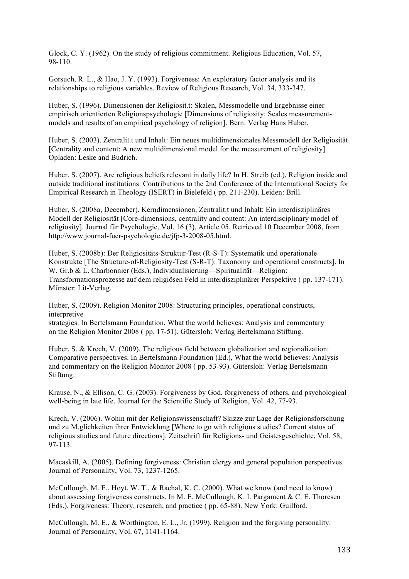Glock, C. Y. (1962). On the study of religious commitment. Religious Education, Vol. 57, 98-110.

Gorsuch, R. L., & Hao, J. Y. (1993). Forgiveness: An exploratory factor analysis and its relationships to religious variables. Review of Religious Research, Vol. 34, 333-347.

Huber, S. (1996). Dimensionen der Religiosit.t: Skalen, Messmodelle und Ergebnisse einer empirisch orientierten Religionspsychologie [Dimensions of religiosity: Scales measurementmodels and results of an empirical psychology of religion]. Bern: Verlag Hans Huber.

Huber, S. (2003). Zentralit.t und Inhalt: Ein neues multidimensionales Messmodell der Religiosität [Centrality and content: A new multidimensional model for the measurement of religiosity]. Opladen: Leske and Budrich.

Huber, S. (2007). Are religious beliefs relevant in daily life? In H. Streib (ed.), Religion inside and outside traditional institutions: Contributions to the 2nd Conference of the International Society for Empirical Research in Theology (ISERT) in Bielefeld ( pp. 211-230). Leiden: Brill.

Huber, S. (2008a, December). Kerndimensionen, Zentralit.t und Inhalt: Ein interdisziplinäres Modell der Religiosität [Core-dimensions, centrality and content: An interdisciplinary model of religiosity]. Journal für Psychologie, Vol. 16 (3), Article 05. Retrieved 10 December 2008, from http://www.journal-fuer-psychologie.de/jfp-3-2008-05.html.

Huber, S. (2008b): Der Religiositäts-Struktur-Test (R-S-T): Systematik und operationale Konstrukte [The Structure-of-Religiosity-Test (S-R-T): Taxonomy and operational constructs]. In W. Gr.b & L. Charbonnier (Eds.), Individualisierung—Spiritualität—Religion: Transformationsprozesse auf dem religiösen Feld in interdisziplinärer Perspektive ( pp. 137-171). Münster: Lit-Verlag.

Huber, S. (2009). Religion Monitor 2008: Structuring principles, operational constructs, interpretive

strategies. In Bertelsmann Foundation, What the world believes: Analysis and commentary on the Religion Monitor 2008 ( pp. 17-51). Gütersloh: Verlag Bertelsmann Stiftung.

Huber, S. & Krech, V. (2009). The religious field between globalization and regionalization: Comparative perspectives. In Bertelsmann Foundation (Ed.), What the world believes: Analysis and commentary on the Religion Monitor 2008 ( pp. 53-93). Gütersloh: Verlag Bertelsmann Stiftung.

Krause, N., & Ellison, C. G. (2003). Forgiveness by God, forgiveness of others, and psychological well-being in late life. Journal for the Scientific Study of Religion, Vol. 42, 77-93.

Krech, V. (2006). Wohin mit der Religionswissenschaft? Skizze zur Lage der Religionsforschung und zu M.glichkeiten ihrer Entwicklung [Where to go with religious studies? Current status of religious studies and future directions]. Zeitschrift für Religions- und Geistesgeschichte, Vol. 58, 97-113.

Macaskill, A. (2005). Defining forgiveness: Christian clergy and general population perspectives. Journal of Personality, Vol. 73, 1237-1265.

McCullough, M. E., Hoyt, W. T., & Rachal, K. C. (2000). What we know (and need to know) about assessing forgiveness constructs. In M. E. McCullough, K. I. Pargament  $\& C$ . E. Thoresen (Eds.), Forgiveness: Theory, research, and practice ( pp. 65-88). New York: Guilford.

McCullough, M. E., & Worthington, E. L., Jr. (1999). Religion and the forgiving personality. Journal of Personality, Vol. 67, 1141-1164.